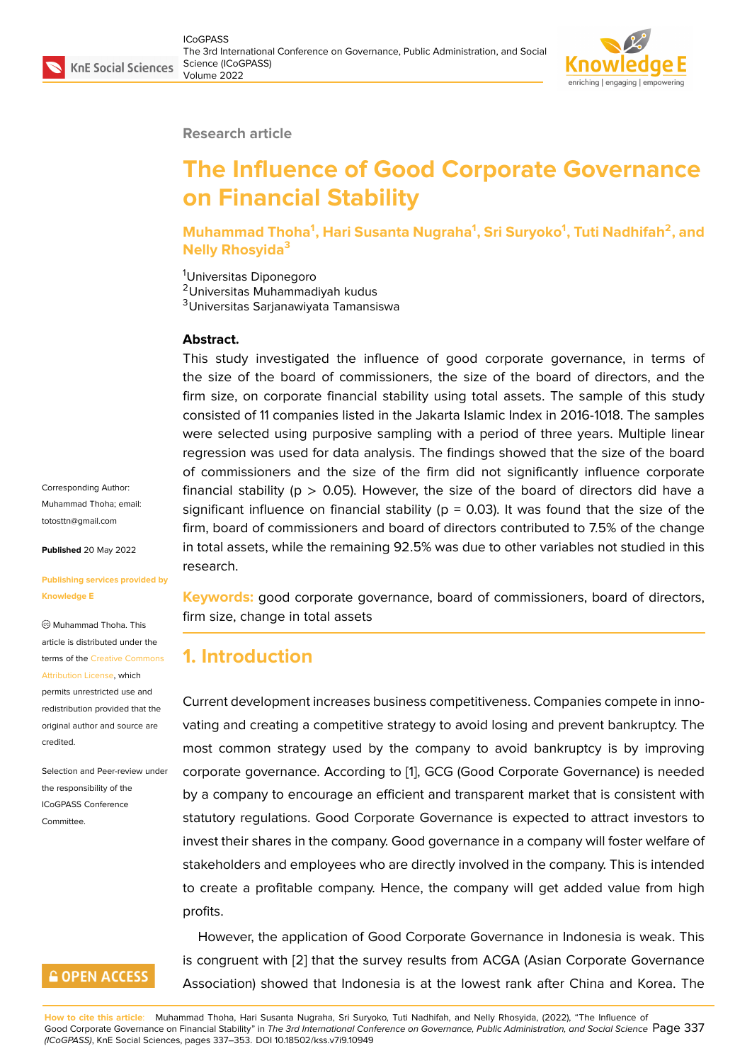**Research article**

# **The Influence of Good Corporate Governance on Financial Stability**

**Muhammad Thoha<sup>1</sup> , Hari Susanta Nugraha<sup>1</sup> , Sri Suryoko<sup>1</sup> , Tuti Nadhifah<sup>2</sup> , and Nelly Rhosyida<sup>3</sup>**

<sup>1</sup>Universitas Diponegoro <sup>2</sup>Universitas Muhammadiyah kudus <sup>3</sup>Universitas Sarjanawiyata Tamansiswa

#### **Abstract.**

This study investigated the influence of good corporate governance, in terms of the size of the board of commissioners, the size of the board of directors, and the firm size, on corporate financial stability using total assets. The sample of this study consisted of 11 companies listed in the Jakarta Islamic Index in 2016-1018. The samples were selected using purposive sampling with a period of three years. Multiple linear regression was used for data analysis. The findings showed that the size of the board of commissioners and the size of the firm did not significantly influence corporate financial stability ( $p > 0.05$ ). However, the size of the board of directors did have a significant influence on financial stability ( $p = 0.03$ ). It was found that the size of the firm, board of commissioners and board of directors contributed to 7.5% of the change in total assets, while the remaining 92.5% was due to other variables not studied in this research.

**Keywords:** good corporate governance, board of commissioners, board of directors, firm size, change in total assets

## **1. Introduction**

Current development increases business competitiveness. Companies compete in innovating and creating a competitive strategy to avoid losing and prevent bankruptcy. The most common strategy used by the company to avoid bankruptcy is by improving corporate governance. According to [1], GCG (Good Corporate Governance) is needed by a company to encourage an efficient and transparent market that is consistent with statutory regulations. Good Corporate Governance is expected to attract investors to invest their shares in the company. G[oo](#page-14-0)d governance in a company will foster welfare of stakeholders and employees who are directly involved in the company. This is intended to create a profitable company. Hence, the company will get added value from high profits.

However, the application of Good Corporate Governance in Indonesia is weak. This is congruent with [2] that the survey results from ACGA (Asian Corporate Governance Association) showed that Indonesia is at the lowest rank after China and Korea. The

totosttn@gmail.com **Published** 20 May 2022

**[Publishing services](mailto:totosttn@gmail.com) provided by Knowledge E**

Corresponding Author: Muhammad Thoha; email:

Muhammad Thoha. This article is distributed under the terms of the Creative Commons Attribution License, which

permits unrestricted use and redistribution provided that the original auth[or and source are](https://creativecommons.org/licenses/by/4.0/) [credited.](https://creativecommons.org/licenses/by/4.0/)

Selection and Peer-review under the responsibility of the ICoGPASS Conference Committee.

## **GOPEN ACCESS**

**How to cite this article**: Muhammad Thoha, Hari Susanta Nugraha, Sri Suryoko, Tuti Nadhifah, and Nelly Rhosyida, (2022), "The Influence of Good Corporate Governance on Financial Stability" in *The 3r[d I](#page-14-1)nternational Conference on Governance, Public Administration, and Social Science* Page 337 *(ICoGPASS)*, KnE Social Sciences, pages 337–353. DOI 10.18502/kss.v7i9.10949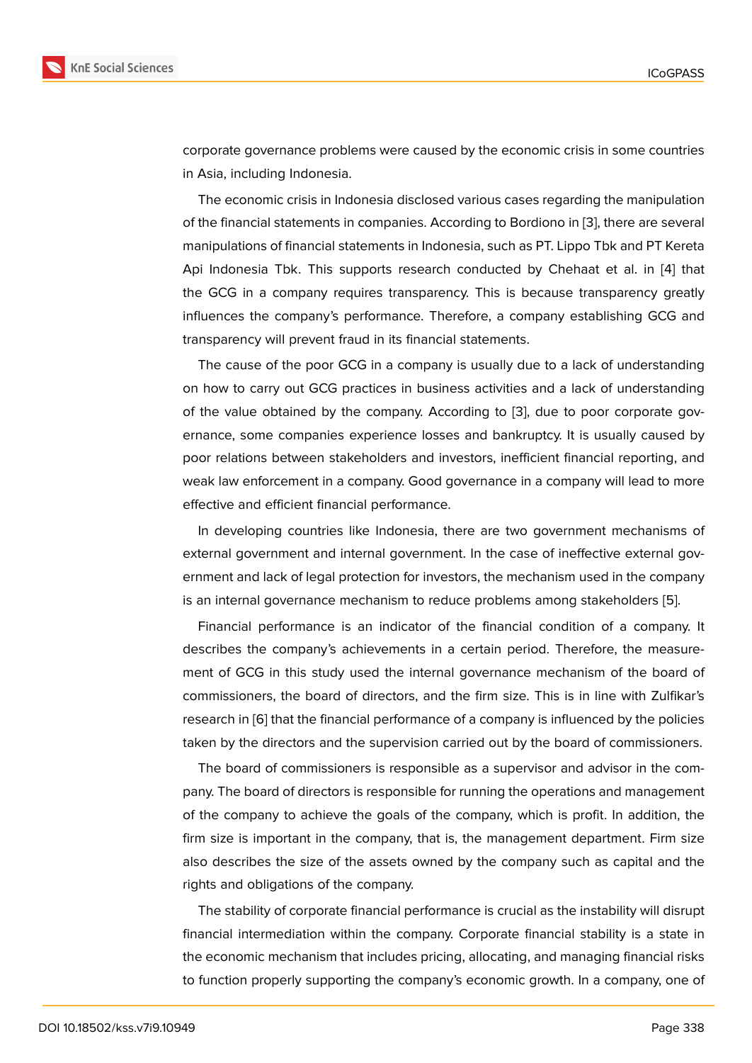corporate governance problems were caused by the economic crisis in some countries in Asia, including Indonesia.

The economic crisis in Indonesia disclosed various cases regarding the manipulation of the financial statements in companies. According to Bordiono in [3], there are several manipulations of financial statements in Indonesia, such as PT. Lippo Tbk and PT Kereta Api Indonesia Tbk. This supports research conducted by Chehaat et al. in [4] that the GCG in a company requires transparency. This is because t[ra](#page-14-2)nsparency greatly influences the company's performance. Therefore, a company establishing GCG and transparency will prevent fraud in its financial statements.

The cause of the poor GCG in a company is usually due to a lack of understanding on how to carry out GCG practices in business activities and a lack of understanding of the value obtained by the company. According to [3], due to poor corporate governance, some companies experience losses and bankruptcy. It is usually caused by poor relations between stakeholders and investors, inefficient financial reporting, and weak law enforcement in a company. Good governanc[e i](#page-14-2)n a company will lead to more effective and efficient financial performance.

In developing countries like Indonesia, there are two government mechanisms of external government and internal government. In the case of ineffective external government and lack of legal protection for investors, the mechanism used in the company is an internal governance mechanism to reduce problems among stakeholders [5].

Financial performance is an indicator of the financial condition of a company. It describes the company's achievements in a certain period. Therefore, the measurement of GCG in this study used the internal governance mechanism of the b[oa](#page-14-3)rd of commissioners, the board of directors, and the firm size. This is in line with Zulfikar's research in [6] that the financial performance of a company is influenced by the policies taken by the directors and the supervision carried out by the board of commissioners.

The board of commissioners is responsible as a supervisor and advisor in the company. The b[oa](#page-14-4)rd of directors is responsible for running the operations and management of the company to achieve the goals of the company, which is profit. In addition, the firm size is important in the company, that is, the management department. Firm size also describes the size of the assets owned by the company such as capital and the rights and obligations of the company.

The stability of corporate financial performance is crucial as the instability will disrupt financial intermediation within the company. Corporate financial stability is a state in the economic mechanism that includes pricing, allocating, and managing financial risks to function properly supporting the company's economic growth. In a company, one of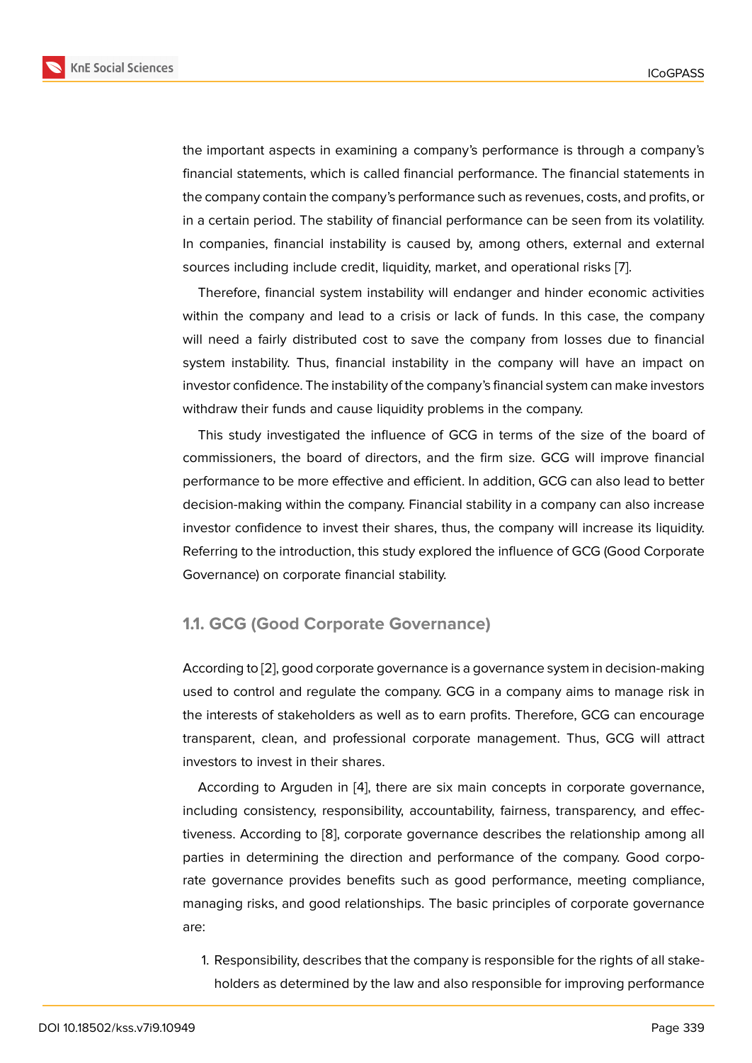the important aspects in examining a company's performance is through a company's financial statements, which is called financial performance. The financial statements in the company contain the company's performance such as revenues, costs, and profits, or in a certain period. The stability of financial performance can be seen from its volatility. In companies, financial instability is caused by, among others, external and external sources including include credit, liquidity, market, and operational risks [7].

Therefore, financial system instability will endanger and hinder economic activities within the company and lead to a crisis or lack of funds. In this case, the company will need a fairly distributed cost to save the company from losses d[ue](#page-15-0) to financial system instability. Thus, financial instability in the company will have an impact on investor confidence. The instability of the company's financial system can make investors withdraw their funds and cause liquidity problems in the company.

This study investigated the influence of GCG in terms of the size of the board of commissioners, the board of directors, and the firm size. GCG will improve financial performance to be more effective and efficient. In addition, GCG can also lead to better decision-making within the company. Financial stability in a company can also increase investor confidence to invest their shares, thus, the company will increase its liquidity. Referring to the introduction, this study explored the influence of GCG (Good Corporate Governance) on corporate financial stability.

#### **1.1. GCG (Good Corporate Governance)**

According to [2], good corporate governance is a governance system in decision-making used to control and regulate the company. GCG in a company aims to manage risk in the interests of stakeholders as well as to earn profits. Therefore, GCG can encourage transparent, [cle](#page-14-1)an, and professional corporate management. Thus, GCG will attract investors to invest in their shares.

According to Arguden in [4], there are six main concepts in corporate governance, including consistency, responsibility, accountability, fairness, transparency, and effectiveness. According to [8], corporate governance describes the relationship among all parties in determining the [dir](#page-14-5)ection and performance of the company. Good corporate governance provides benefits such as good performance, meeting compliance, managing risks, and go[od](#page-15-1) relationships. The basic principles of corporate governance are:

1. Responsibility, describes that the company is responsible for the rights of all stakeholders as determined by the law and also responsible for improving performance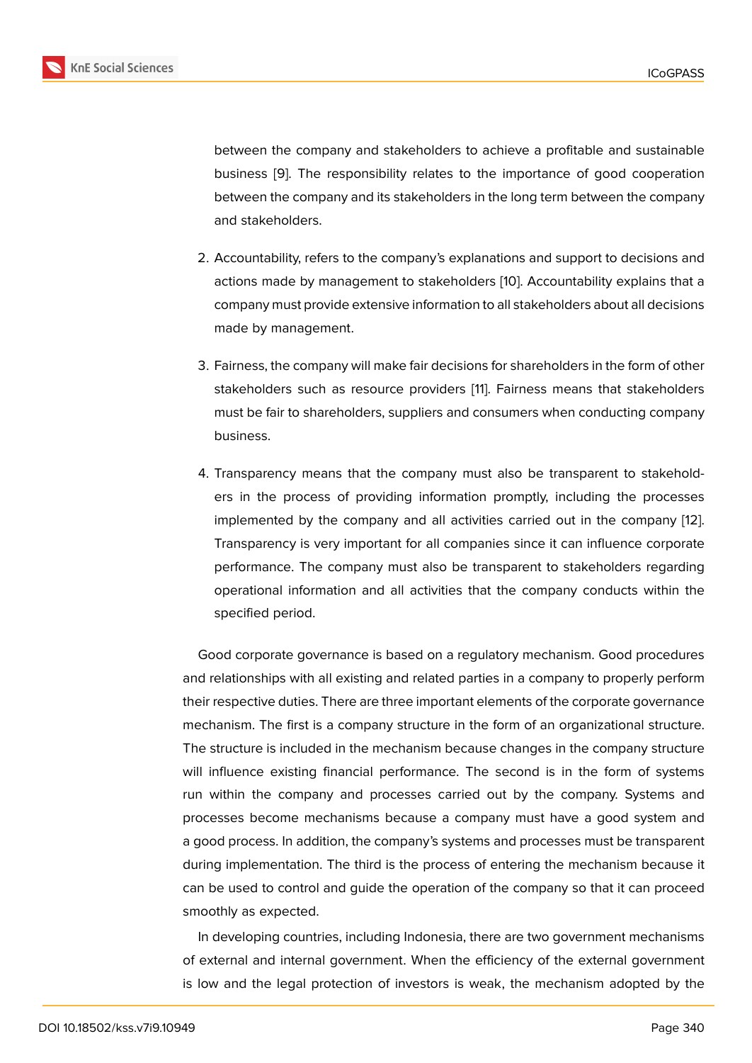between the company and stakeholders to achieve a profitable and sustainable business [9]. The responsibility relates to the importance of good cooperation between the company and its stakeholders in the long term between the company and stakeholders.

- 2. Accountability, refers to the company's explanations and support to decisions and actions made by management to stakeholders [10]. Accountability explains that a company must provide extensive information to all stakeholders about all decisions made by management.
- 3. Fairness, the company will make fair decisions for shareholders in the form of other stakeholders such as resource providers [11]. Fairness means that stakeholders must be fair to shareholders, suppliers and consumers when conducting company business.
- 4. Transparency means that the company must also be transparent to stakeholders in the process of providing information promptly, including the processes implemented by the company and all activities carried out in the company [12]. Transparency is very important for all companies since it can influence corporate performance. The company must also be transparent to stakeholders regarding operational information and all activities that the company conducts within [the](#page-15-2) specified period.

Good corporate governance is based on a regulatory mechanism. Good procedures and relationships with all existing and related parties in a company to properly perform their respective duties. There are three important elements of the corporate governance mechanism. The first is a company structure in the form of an organizational structure. The structure is included in the mechanism because changes in the company structure will influence existing financial performance. The second is in the form of systems run within the company and processes carried out by the company. Systems and processes become mechanisms because a company must have a good system and a good process. In addition, the company's systems and processes must be transparent during implementation. The third is the process of entering the mechanism because it can be used to control and guide the operation of the company so that it can proceed smoothly as expected.

In developing countries, including Indonesia, there are two government mechanisms of external and internal government. When the efficiency of the external government is low and the legal protection of investors is weak, the mechanism adopted by the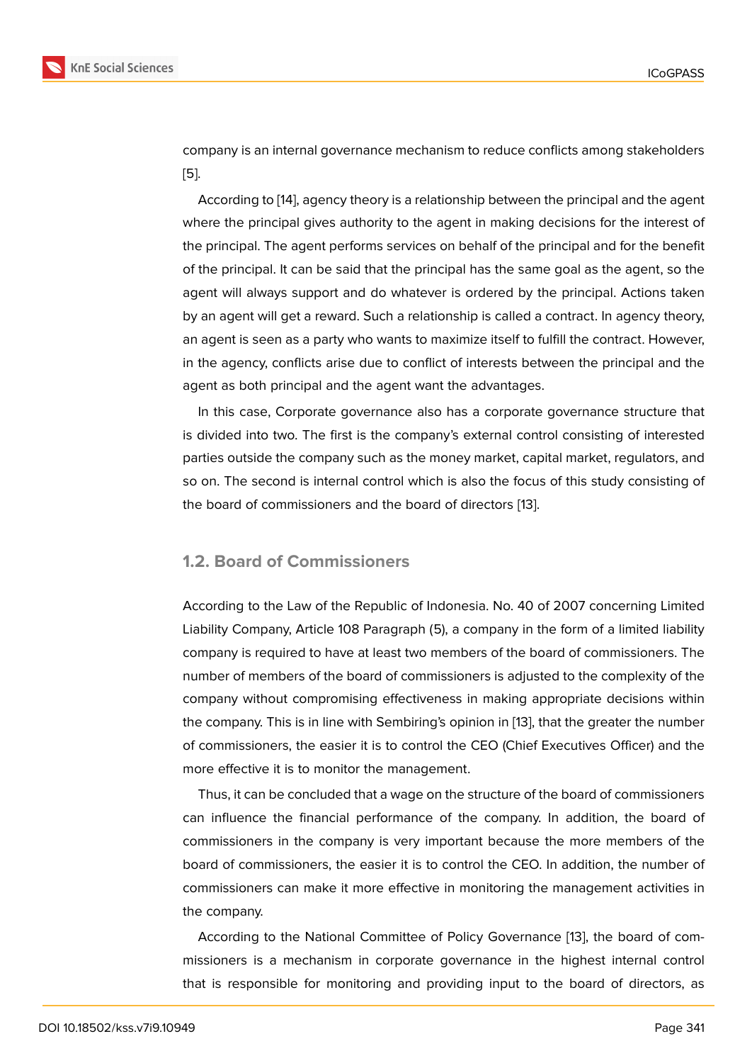company is an internal governance mechanism to reduce conflicts among stakeholders [5].

According to [14], agency theory is a relationship between the principal and the agent where the principal gives authority to the agent in making decisions for the interest of [th](#page-14-3)e principal. The agent performs services on behalf of the principal and for the benefit of the principal. [It c](#page-15-3)an be said that the principal has the same goal as the agent, so the agent will always support and do whatever is ordered by the principal. Actions taken by an agent will get a reward. Such a relationship is called a contract. In agency theory, an agent is seen as a party who wants to maximize itself to fulfill the contract. However, in the agency, conflicts arise due to conflict of interests between the principal and the agent as both principal and the agent want the advantages.

In this case, Corporate governance also has a corporate governance structure that is divided into two. The first is the company's external control consisting of interested parties outside the company such as the money market, capital market, regulators, and so on. The second is internal control which is also the focus of this study consisting of the board of commissioners and the board of directors [13].

#### **1.2. Board of Commissioners**

According to the Law of the Republic of Indonesia. No. 40 of 2007 concerning Limited Liability Company, Article 108 Paragraph (5), a company in the form of a limited liability company is required to have at least two members of the board of commissioners. The number of members of the board of commissioners is adjusted to the complexity of the company without compromising effectiveness in making appropriate decisions within the company. This is in line with Sembiring's opinion in [13], that the greater the number of commissioners, the easier it is to control the CEO (Chief Executives Officer) and the more effective it is to monitor the management.

Thus, it can be concluded that a wage on the structur[e o](#page-15-4)f the board of commissioners can influence the financial performance of the company. In addition, the board of commissioners in the company is very important because the more members of the board of commissioners, the easier it is to control the CEO. In addition, the number of commissioners can make it more effective in monitoring the management activities in the company.

According to the National Committee of Policy Governance [13], the board of commissioners is a mechanism in corporate governance in the highest internal control that is responsible for monitoring and providing input to the board of directors, as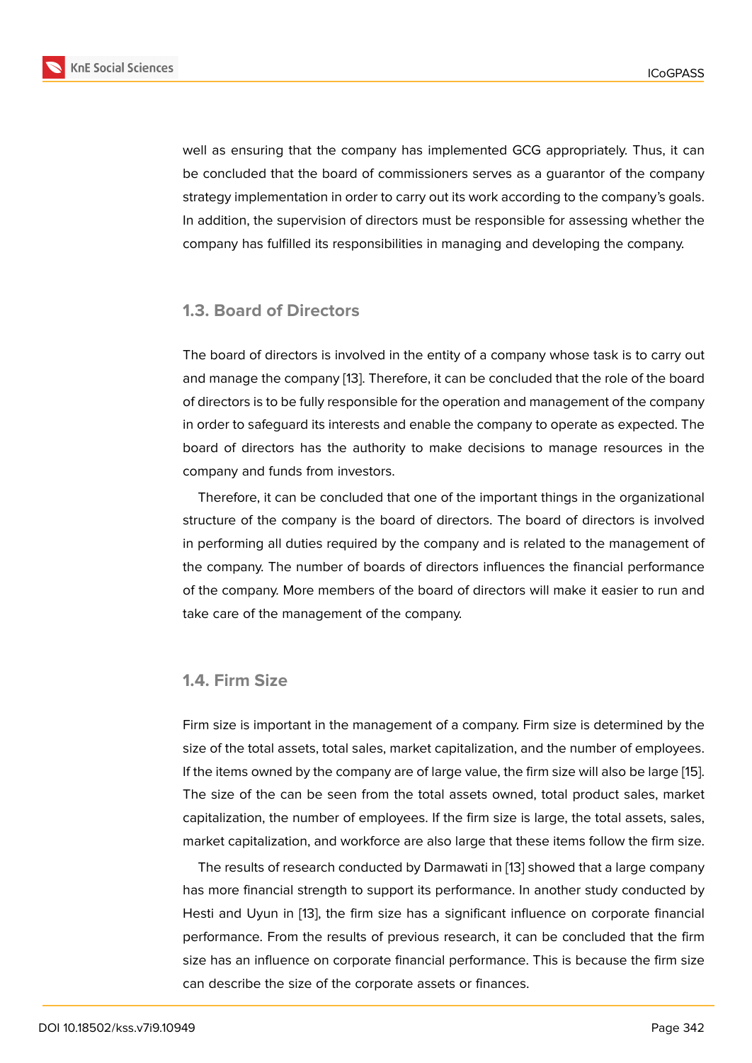well as ensuring that the company has implemented GCG appropriately. Thus, it can be concluded that the board of commissioners serves as a guarantor of the company strategy implementation in order to carry out its work according to the company's goals. In addition, the supervision of directors must be responsible for assessing whether the company has fulfilled its responsibilities in managing and developing the company.

#### **1.3. Board of Directors**

The board of directors is involved in the entity of a company whose task is to carry out and manage the company [13]. Therefore, it can be concluded that the role of the board of directors is to be fully responsible for the operation and management of the company in order to safeguard its interests and enable the company to operate as expected. The board of directors has th[e a](#page-15-4)uthority to make decisions to manage resources in the company and funds from investors.

Therefore, it can be concluded that one of the important things in the organizational structure of the company is the board of directors. The board of directors is involved in performing all duties required by the company and is related to the management of the company. The number of boards of directors influences the financial performance of the company. More members of the board of directors will make it easier to run and take care of the management of the company.

#### **1.4. Firm Size**

Firm size is important in the management of a company. Firm size is determined by the size of the total assets, total sales, market capitalization, and the number of employees. If the items owned by the company are of large value, the firm size will also be large [15]. The size of the can be seen from the total assets owned, total product sales, market capitalization, the number of employees. If the firm size is large, the total assets, sales, market capitalization, and workforce are also large that these items follow the firm s[ize](#page-15-5).

The results of research conducted by Darmawati in [13] showed that a large company has more financial strength to support its performance. In another study conducted by Hesti and Uyun in [13], the firm size has a significant influence on corporate financial performance. From the results of previous research, i[t c](#page-15-4)an be concluded that the firm size has an influence on corporate financial performance. This is because the firm size can describe the si[ze](#page-15-4) of the corporate assets or finances.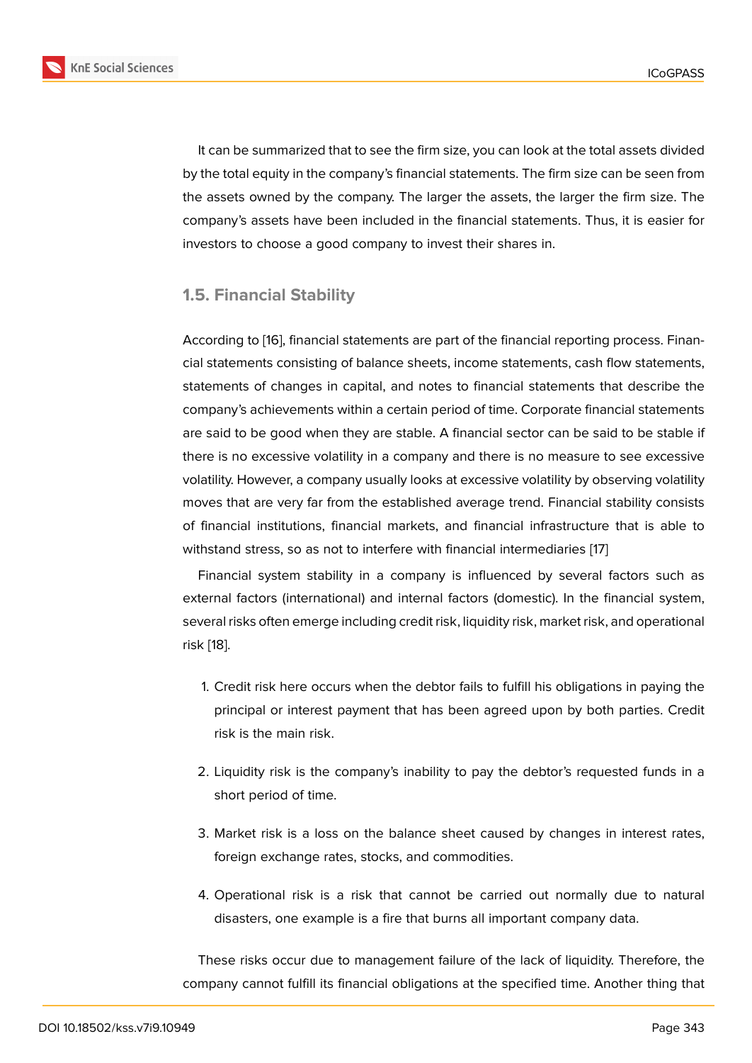It can be summarized that to see the firm size, you can look at the total assets divided by the total equity in the company's financial statements. The firm size can be seen from the assets owned by the company. The larger the assets, the larger the firm size. The company's assets have been included in the financial statements. Thus, it is easier for investors to choose a good company to invest their shares in.

#### **1.5. Financial Stability**

According to [16], financial statements are part of the financial reporting process. Financial statements consisting of balance sheets, income statements, cash flow statements, statements of changes in capital, and notes to financial statements that describe the company's ac[hie](#page-15-6)vements within a certain period of time. Corporate financial statements are said to be good when they are stable. A financial sector can be said to be stable if there is no excessive volatility in a company and there is no measure to see excessive volatility. However, a company usually looks at excessive volatility by observing volatility moves that are very far from the established average trend. Financial stability consists of financial institutions, financial markets, and financial infrastructure that is able to withstand stress, so as not to interfere with financial intermediaries [17]

Financial system stability in a company is influenced by several factors such as external factors (international) and internal factors (domestic). In the financial system, several risks often emerge including credit risk, liquidity risk, market ri[sk](#page-15-7), and operational risk [18].

- 1. Credit risk here occurs when the debtor fails to fulfill his obligations in paying the [pr](#page-15-8)incipal or interest payment that has been agreed upon by both parties. Credit risk is the main risk.
- 2. Liquidity risk is the company's inability to pay the debtor's requested funds in a short period of time.
- 3. Market risk is a loss on the balance sheet caused by changes in interest rates, foreign exchange rates, stocks, and commodities.
- 4. Operational risk is a risk that cannot be carried out normally due to natural disasters, one example is a fire that burns all important company data.

These risks occur due to management failure of the lack of liquidity. Therefore, the company cannot fulfill its financial obligations at the specified time. Another thing that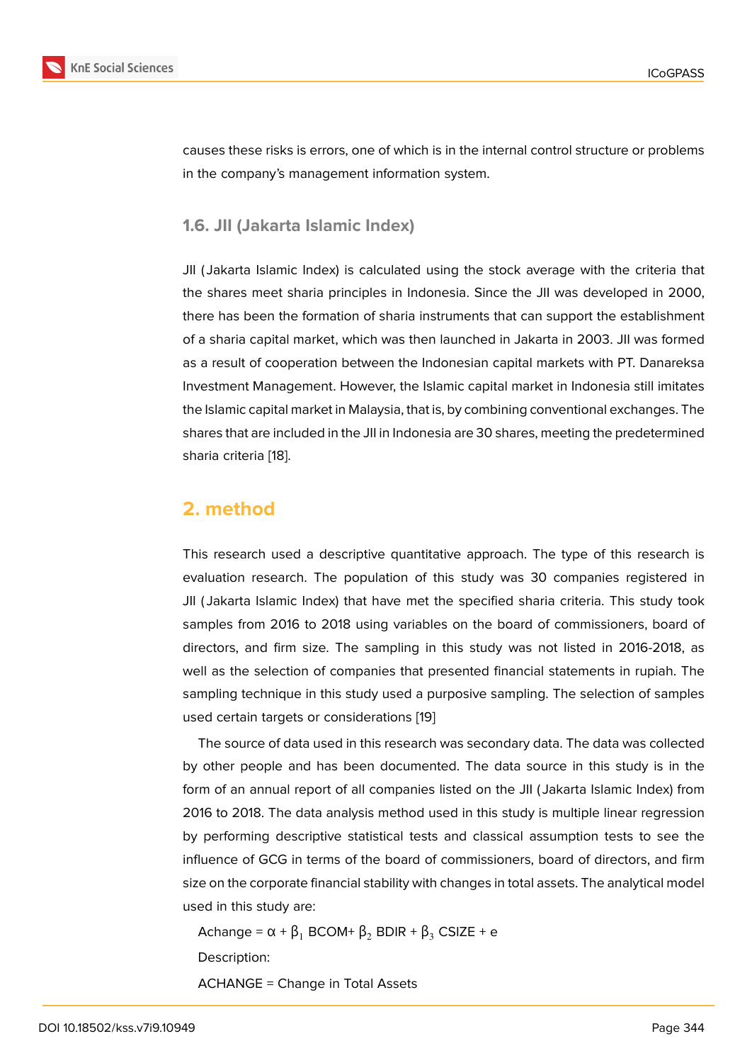causes these risks is errors, one of which is in the internal control structure or problems in the company's management information system.

#### **1.6. JII (Jakarta Islamic Index)**

JII ( Jakarta Islamic Index) is calculated using the stock average with the criteria that the shares meet sharia principles in Indonesia. Since the JII was developed in 2000, there has been the formation of sharia instruments that can support the establishment of a sharia capital market, which was then launched in Jakarta in 2003. JII was formed as a result of cooperation between the Indonesian capital markets with PT. Danareksa Investment Management. However, the Islamic capital market in Indonesia still imitates the Islamic capital market in Malaysia, that is, by combining conventional exchanges. The shares that are included in the JII in Indonesia are 30 shares, meeting the predetermined sharia criteria [18].

### **2. metho[d](#page-15-8)**

This research used a descriptive quantitative approach. The type of this research is evaluation research. The population of this study was 30 companies registered in JII ( Jakarta Islamic Index) that have met the specified sharia criteria. This study took samples from 2016 to 2018 using variables on the board of commissioners, board of directors, and firm size. The sampling in this study was not listed in 2016-2018, as well as the selection of companies that presented financial statements in rupiah. The sampling technique in this study used a purposive sampling. The selection of samples used certain targets or considerations [19]

The source of data used in this research was secondary data. The data was collected by other people and has been documented. The data source in this study is in the form of an annual report of all compan[ies](#page-15-9) listed on the JII ( Jakarta Islamic Index) from 2016 to 2018. The data analysis method used in this study is multiple linear regression by performing descriptive statistical tests and classical assumption tests to see the influence of GCG in terms of the board of commissioners, board of directors, and firm size on the corporate financial stability with changes in total assets. The analytical model used in this study are:

Achange =  $\alpha + \beta_1$  BCOM+  $\beta_2$  BDIR +  $\beta_3$  CSIZE + e Description:

ACHANGE = Change in Total Assets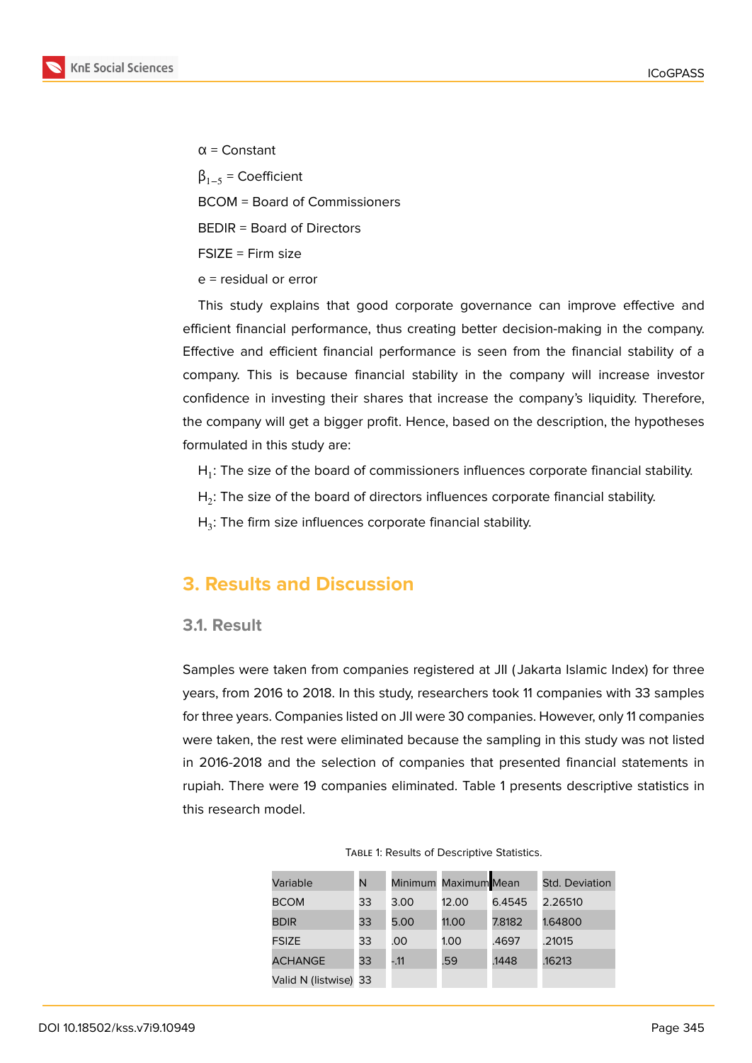

α = Constant  $\beta_{1-5}$  = Coefficient BCOM = Board of Commissioners BEDIR = Board of Directors FSIZE = Firm size e = residual or error

This study explains that good corporate governance can improve effective and efficient financial performance, thus creating better decision-making in the company. Effective and efficient financial performance is seen from the financial stability of a company. This is because financial stability in the company will increase investor confidence in investing their shares that increase the company's liquidity. Therefore, the company will get a bigger profit. Hence, based on the description, the hypotheses formulated in this study are:

 $H_1$ : The size of the board of commissioners influences corporate financial stability.

 ${\sf H}_2$ : The size of the board of directors influences corporate financial stability.

 $H_3$ : The firm size influences corporate financial stability.

## **3. Results and Discussion**

#### **3.1. Result**

Samples were taken from companies registered at JII ( Jakarta Islamic Index) for three years, from 2016 to 2018. In this study, researchers took 11 companies with 33 samples for three years. Companies listed on JII were 30 companies. However, only 11 companies were taken, the rest were eliminated because the sampling in this study was not listed in 2016-2018 and the selection of companies that presented financial statements in rupiah. There were 19 companies eliminated. Table 1 presents descriptive statistics in this research model.

| Variable              | N  |       | Minimum Maximum Mean |        | <b>Std. Deviation</b> |
|-----------------------|----|-------|----------------------|--------|-----------------------|
| <b>BCOM</b>           | 33 | 3.00  | 12.00                | 6.4545 | 2.26510               |
| <b>BDIR</b>           | 33 | 5.00  | 11.00                | 7.8182 | 1.64800               |
| <b>FSIZE</b>          | 33 | .00   | 1.00                 | .4697  | .21015                |
| <b>ACHANGE</b>        | 33 | $-11$ | .59                  | .1448  | .16213                |
| Valid N (listwise) 33 |    |       |                      |        |                       |

Table 1: Results of Descriptive Statistics.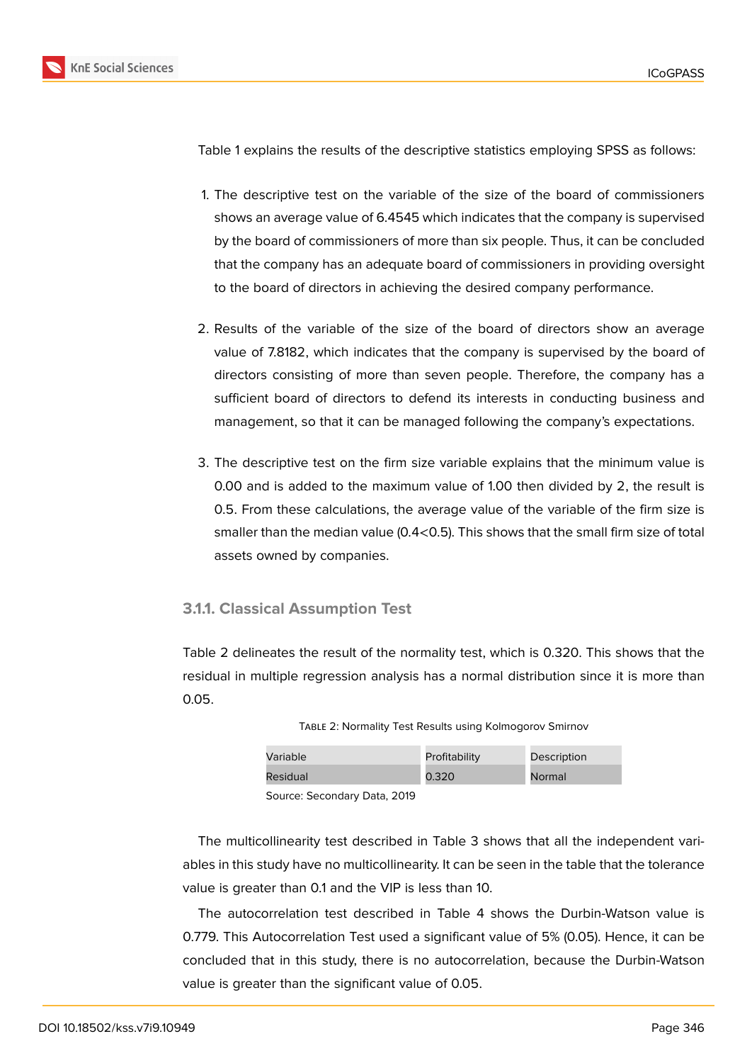

Table 1 explains the results of the descriptive statistics employing SPSS as follows:

- 1. The descriptive test on the variable of the size of the board of commissioners shows an average value of 6.4545 which indicates that the company is supervised by the board of commissioners of more than six people. Thus, it can be concluded that the company has an adequate board of commissioners in providing oversight to the board of directors in achieving the desired company performance.
- 2. Results of the variable of the size of the board of directors show an average value of 7.8182, which indicates that the company is supervised by the board of directors consisting of more than seven people. Therefore, the company has a sufficient board of directors to defend its interests in conducting business and management, so that it can be managed following the company's expectations.
- 3. The descriptive test on the firm size variable explains that the minimum value is 0.00 and is added to the maximum value of 1.00 then divided by 2, the result is 0.5. From these calculations, the average value of the variable of the firm size is smaller than the median value (0.4<0.5). This shows that the small firm size of total assets owned by companies.

#### **3.1.1. Classical Assumption Test**

Table 2 delineates the result of the normality test, which is 0.320. This shows that the residual in multiple regression analysis has a normal distribution since it is more than 0.05.

| Variable | Profitability | Description |
|----------|---------------|-------------|
| Residual | 0.320         | Normal      |
| 0.0000   |               |             |

Table 2: Normality Test Results using Kolmogorov Smirnov

Source: Secondary Data, 2019

The multicollinearity test described in Table 3 shows that all the independent variables in this study have no multicollinearity. It can be seen in the table that the tolerance value is greater than 0.1 and the VIP is less than 10.

The autocorrelation test described in Table 4 shows the Durbin-Watson value is 0.779. This Autocorrelation Test used a significant value of 5% (0.05). Hence, it can be concluded that in this study, there is no autocorrelation, because the Durbin-Watson value is greater than the significant value of 0.05.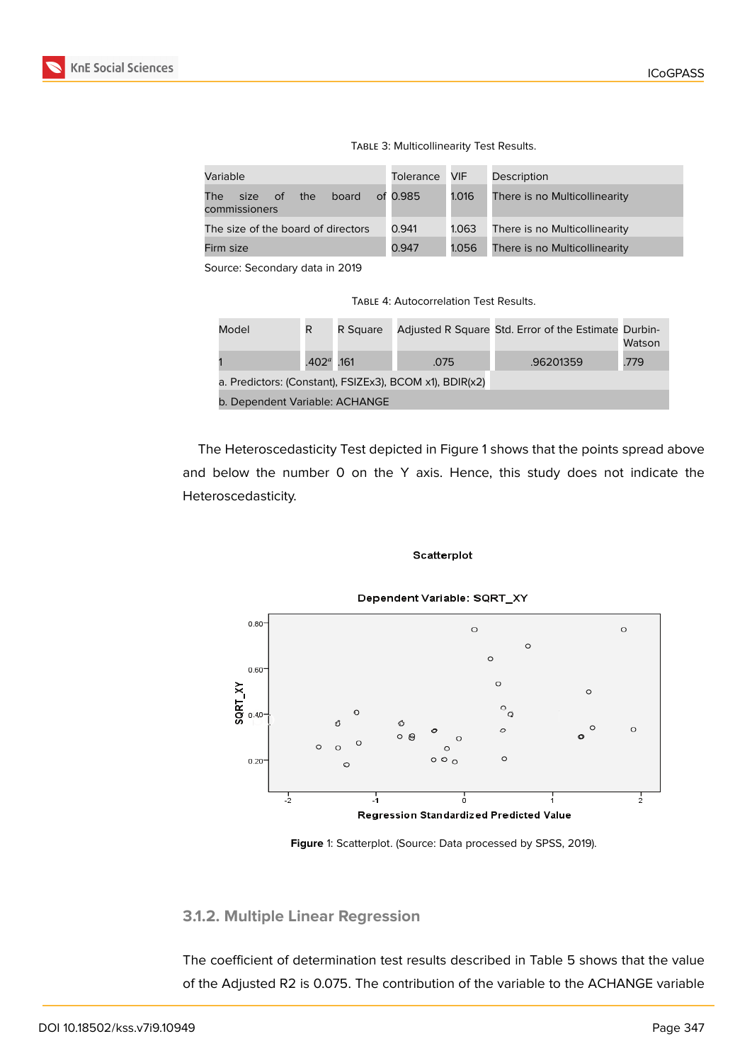| Variable                                              | <b>Tolerance</b> | VIF   | Description                   |
|-------------------------------------------------------|------------------|-------|-------------------------------|
| The l<br>board<br>of.<br>the<br>size<br>commissioners | of 0.985         | 1.016 | There is no Multicollinearity |
| The size of the board of directors                    | 0.941            | 1.063 | There is no Multicollinearity |
| Firm size                                             | 0.947            | 1.056 | There is no Multicollinearity |
|                                                       |                  |       |                               |

Source: Secondary data in 2019

Table 4: Autocorrelation Test Results.

| Model                                                   | R            | R Sauare |      | Adjusted R Square Std. Error of the Estimate Durbin- | Watson |  |  |  |
|---------------------------------------------------------|--------------|----------|------|------------------------------------------------------|--------|--|--|--|
|                                                         | $.402a$ .161 |          | .075 | .96201359                                            | .779   |  |  |  |
| a. Predictors: (Constant), FSIZEx3), BCOM x1), BDIR(x2) |              |          |      |                                                      |        |  |  |  |
| b. Dependent Variable: ACHANGE                          |              |          |      |                                                      |        |  |  |  |

The Heteroscedasticity Test depicted in Figure 1 shows that the points spread above and below the number 0 on the Y axis. Hence, this study does not indicate the Heteroscedasticity.





**Figure** 1: Scatterplot. (Source: Data processed by SPSS, 2019).

#### **3.1.2. Multiple Linear Regression**

The coefficient of determination test results described in Table 5 shows that the value of the Adjusted R2 is 0.075. The contribution of the variable to the ACHANGE variable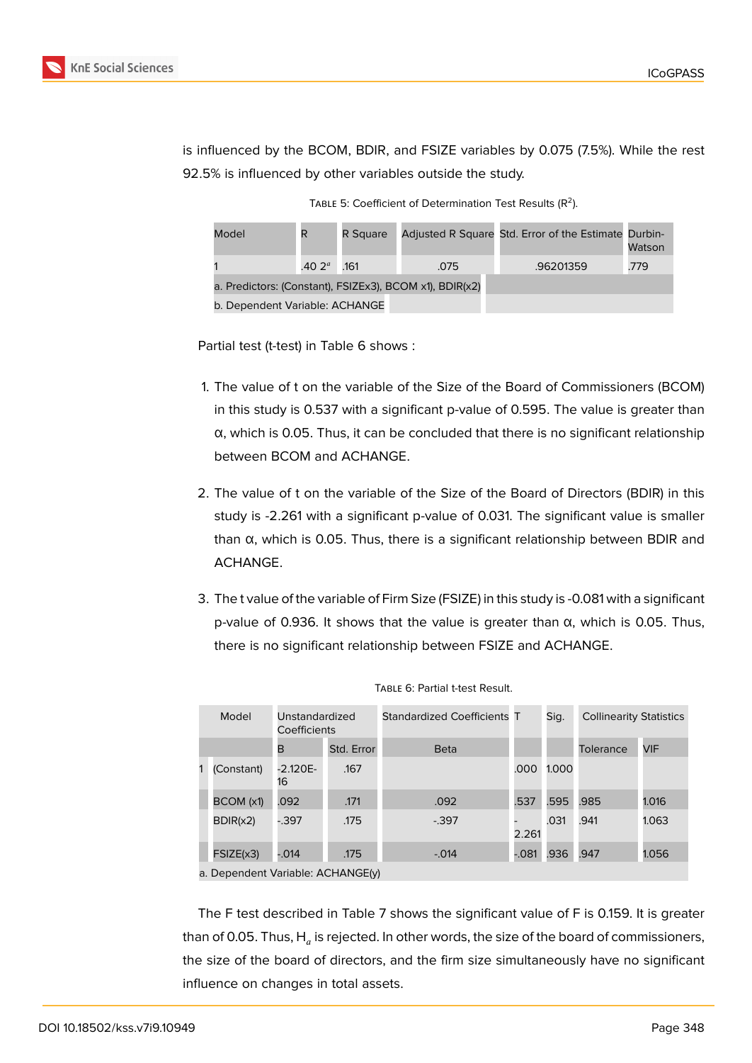

is influenced by the BCOM, BDIR, and FSIZE variables by 0.075 (7.5%). While the rest 92.5% is influenced by other variables outside the study.

TABLE 5: Coefficient of Determination Test Results ( $R^2$ ).

| Model                                                   | R               | R Square |      | Adjusted R Square Std. Error of the Estimate Durbin- | Watson |  |  |  |
|---------------------------------------------------------|-----------------|----------|------|------------------------------------------------------|--------|--|--|--|
|                                                         | .40 $2^{\circ}$ | .161     | .075 | .96201359                                            | .779   |  |  |  |
| a. Predictors: (Constant), FSIZEx3), BCOM x1), BDIR(x2) |                 |          |      |                                                      |        |  |  |  |
| b. Dependent Variable: ACHANGE                          |                 |          |      |                                                      |        |  |  |  |

Partial test (t-test) in Table 6 shows :

- 1. The value of t on the variable of the Size of the Board of Commissioners (BCOM) in this study is 0.537 with a significant p-value of 0.595. The value is greater than α, which is 0.05. Thus, it can be concluded that there is no significant relationship between BCOM and ACHANGE.
- 2. The value of t on the variable of the Size of the Board of Directors (BDIR) in this study is -2.261 with a significant p-value of 0.031. The significant value is smaller than α, which is 0.05. Thus, there is a significant relationship between BDIR and ACHANGE.
- 3. The t value of the variable of Firm Size (FSIZE) in this study is -0.081 with a significant p-value of 0.936. It shows that the value is greater than α, which is 0.05. Thus, there is no significant relationship between FSIZE and ACHANGE.

| Model      | Unstandardized<br>Coefficients |            | Standardized Coefficients T |       | Sig.  | <b>Collinearity Statistics</b> |       |
|------------|--------------------------------|------------|-----------------------------|-------|-------|--------------------------------|-------|
|            | в                              | Std. Error | <b>Beta</b>                 |       |       | Tolerance                      | VIF   |
| (Constant) | -2.120E-<br>16                 | .167       |                             | .000  | 1.000 |                                |       |
| BCOM (x1)  | .092                           | .171       | .092                        | .537  | .595  | .985                           | 1.016 |
| BDIR(x2)   | $-0.397$                       | .175       | $-0.397$                    | 2.261 | .031  | .941                           | 1.063 |
| FSIZE(x3)  | $-0.014$                       | .175       | $-0.014$                    | -.081 | .936  | .947                           | 1.056 |

Table 6: Partial t-test Result.

The F test described in Table 7 shows the significant value of F is 0.159. It is greater than of 0.05. Thus,  $\mathsf{H}_a$  is rejected. In other words, the size of the board of commissioners, the size of the board of directors, and the firm size simultaneously have no significant influence on changes in total assets.

a. Dependent Variable: ACHANGE(y)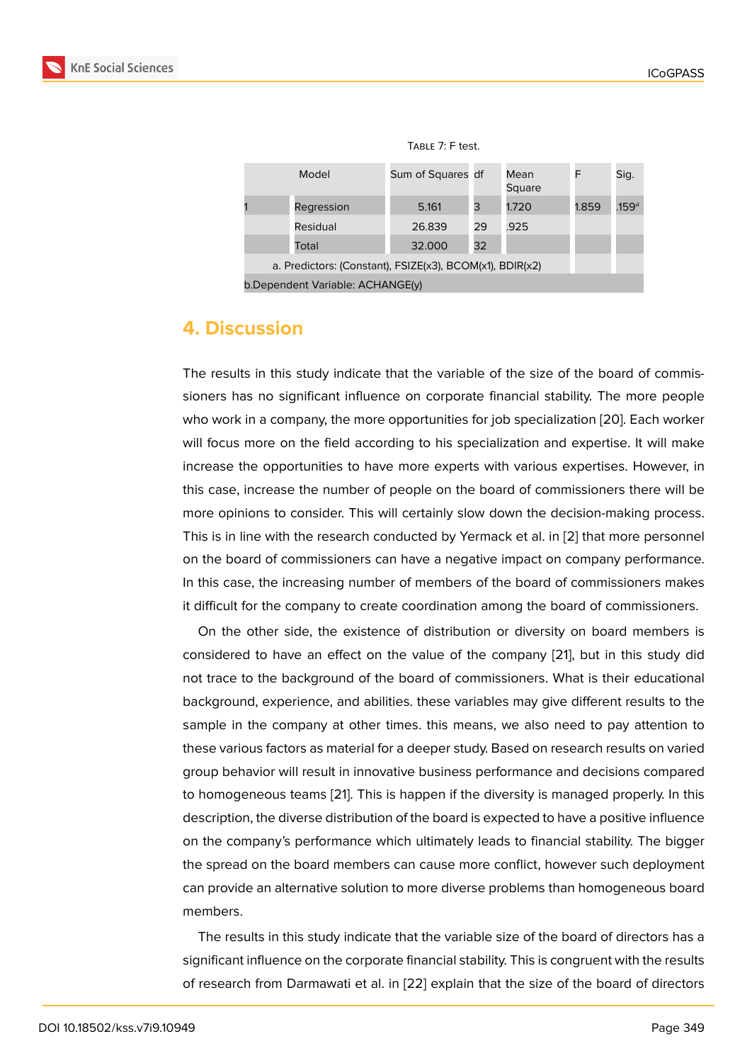| 180LL 7.1 LC3L.   |                       |  |
|-------------------|-----------------------|--|
| Sum of Squares df | Mean<br>$\sim$ $\sim$ |  |

|  | Model                                                    | Sum of Squares df |    | Mean<br>Square |       | Sig.              |
|--|----------------------------------------------------------|-------------------|----|----------------|-------|-------------------|
|  | Regression                                               | 5.161             | 3  | 1.720          | 1.859 | .159 <sup>a</sup> |
|  | Residual                                                 | 26.839            | 29 | .925           |       |                   |
|  | Total                                                    | 32,000            | 32 |                |       |                   |
|  | a. Predictors: (Constant), FSIZE(x3), BCOM(x1), BDIR(x2) |                   |    |                |       |                   |
|  |                                                          |                   |    |                |       |                   |

 $T$ Able  $7: E$  tost.

## **4. Discussion**

The results in this study indicate that the variable of the size of the board of commissioners has no significant influence on corporate financial stability. The more people who work in a company, the more opportunities for job specialization [20]. Each worker will focus more on the field according to his specialization and expertise. It will make increase the opportunities to have more experts with various expertises. However, in this case, increase the number of people on the board of commissio[ners](#page-16-0) there will be more opinions to consider. This will certainly slow down the decision-making process. This is in line with the research conducted by Yermack et al. in [2] that more personnel on the board of commissioners can have a negative impact on company performance. In this case, the increasing number of members of the board of commissioners makes it difficult for the company to create coordination among the bo[ar](#page-14-1)d of commissioners.

On the other side, the existence of distribution or diversity on board members is considered to have an effect on the value of the company [21], but in this study did not trace to the background of the board of commissioners. What is their educational background, experience, and abilities. these variables may give different results to the sample in the company at other times. this means, we also [ne](#page-16-1)ed to pay attention to these various factors as material for a deeper study. Based on research results on varied group behavior will result in innovative business performance and decisions compared to homogeneous teams [21]. This is happen if the diversity is managed properly. In this description, the diverse distribution of the board is expected to have a positive influence on the company's performance which ultimately leads to financial stability. The bigger the spread on the board [me](#page-16-1)mbers can cause more conflict, however such deployment can provide an alternative solution to more diverse problems than homogeneous board members.

The results in this study indicate that the variable size of the board of directors has a significant influence on the corporate financial stability. This is congruent with the results of research from Darmawati et al. in [22] explain that the size of the board of directors

b.Dependent Variable: ACHANGE(y)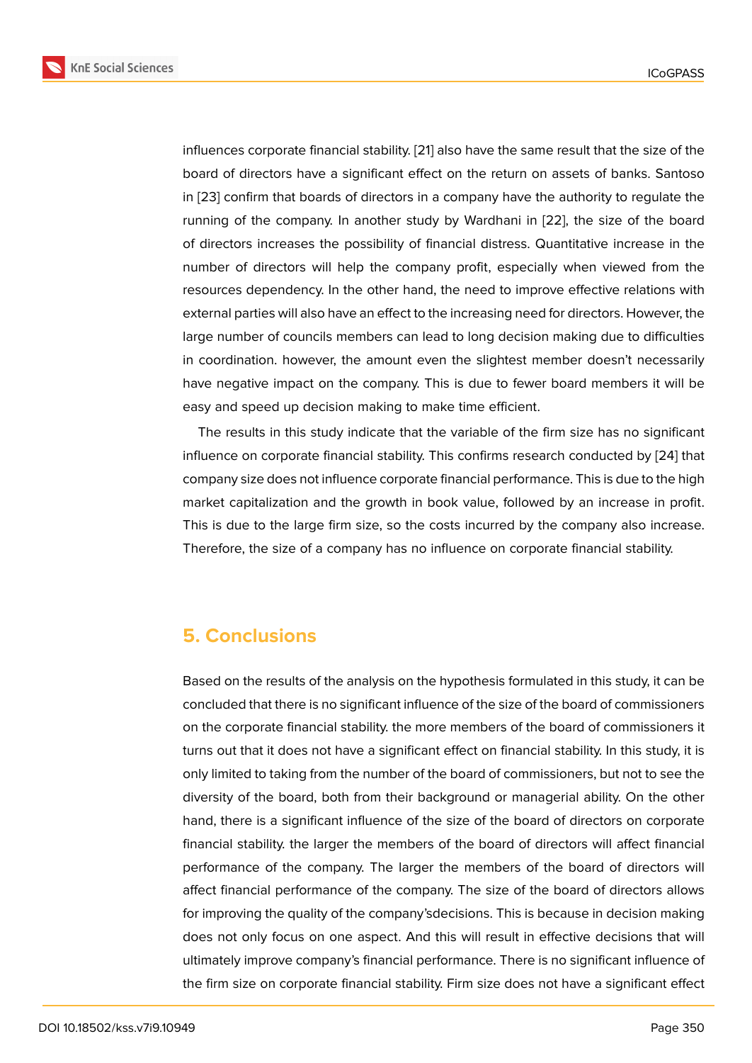influences corporate financial stability. [21] also have the same result that the size of the board of directors have a significant effect on the return on assets of banks. Santoso in [23] confirm that boards of directors in a company have the authority to regulate the running of the company. In another st[ud](#page-16-1)y by Wardhani in [22], the size of the board of directors increases the possibility of financial distress. Quantitative increase in the nu[mb](#page-16-2)er of directors will help the company profit, especially when viewed from the resources dependency. In the other hand, the need to impr[ove](#page-16-3) effective relations with external parties will also have an effect to the increasing need for directors. However, the large number of councils members can lead to long decision making due to difficulties in coordination. however, the amount even the slightest member doesn't necessarily have negative impact on the company. This is due to fewer board members it will be easy and speed up decision making to make time efficient.

The results in this study indicate that the variable of the firm size has no significant influence on corporate financial stability. This confirms research conducted by [24] that company size does not influence corporate financial performance. This is due to the high market capitalization and the growth in book value, followed by an increase in profit. This is due to the large firm size, so the costs incurred by the company also i[ncre](#page-16-4)ase. Therefore, the size of a company has no influence on corporate financial stability.

## **5. Conclusions**

Based on the results of the analysis on the hypothesis formulated in this study, it can be concluded that there is no significant influence of the size of the board of commissioners on the corporate financial stability. the more members of the board of commissioners it turns out that it does not have a significant effect on financial stability. In this study, it is only limited to taking from the number of the board of commissioners, but not to see the diversity of the board, both from their background or managerial ability. On the other hand, there is a significant influence of the size of the board of directors on corporate financial stability. the larger the members of the board of directors will affect financial performance of the company. The larger the members of the board of directors will affect financial performance of the company. The size of the board of directors allows for improving the quality of the company'sdecisions. This is because in decision making does not only focus on one aspect. And this will result in effective decisions that will ultimately improve company's financial performance. There is no significant influence of the firm size on corporate financial stability. Firm size does not have a significant effect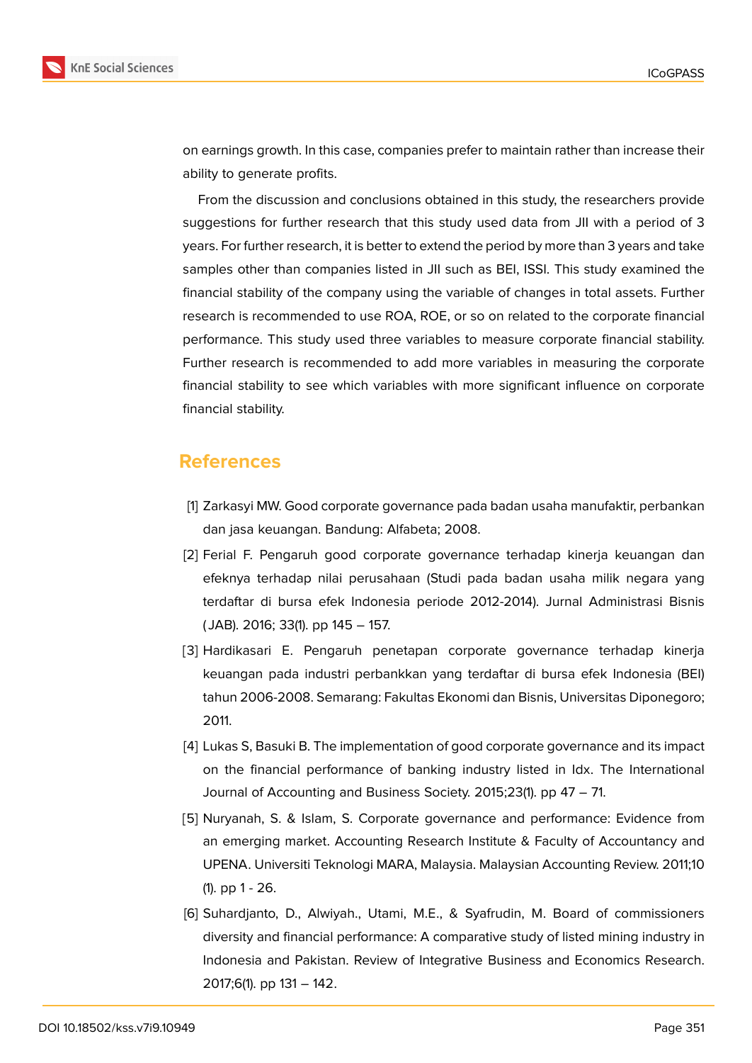

on earnings growth. In this case, companies prefer to maintain rather than increase their ability to generate profits.

From the discussion and conclusions obtained in this study, the researchers provide suggestions for further research that this study used data from JII with a period of 3 years. For further research, it is better to extend the period by more than 3 years and take samples other than companies listed in JII such as BEI, ISSI. This study examined the financial stability of the company using the variable of changes in total assets. Further research is recommended to use ROA, ROE, or so on related to the corporate financial performance. This study used three variables to measure corporate financial stability. Further research is recommended to add more variables in measuring the corporate financial stability to see which variables with more significant influence on corporate financial stability.

## **References**

- <span id="page-14-0"></span>[1] Zarkasyi MW. Good corporate governance pada badan usaha manufaktir, perbankan dan jasa keuangan. Bandung: Alfabeta; 2008.
- <span id="page-14-1"></span>[2] Ferial F. Pengaruh good corporate governance terhadap kinerja keuangan dan efeknya terhadap nilai perusahaan (Studi pada badan usaha milik negara yang terdaftar di bursa efek Indonesia periode 2012-2014). Jurnal Administrasi Bisnis ( JAB). 2016; 33(1). pp 145 – 157.
- <span id="page-14-2"></span>[3] Hardikasari E. Pengaruh penetapan corporate governance terhadap kinerja keuangan pada industri perbankkan yang terdaftar di bursa efek Indonesia (BEI) tahun 2006-2008. Semarang: Fakultas Ekonomi dan Bisnis, Universitas Diponegoro; 2011.
- <span id="page-14-5"></span>[4] Lukas S, Basuki B. The implementation of good corporate governance and its impact on the financial performance of banking industry listed in Idx. The International Journal of Accounting and Business Society. 2015;23(1). pp 47 – 71.
- <span id="page-14-3"></span>[5] Nuryanah, S. & Islam, S. Corporate governance and performance: Evidence from an emerging market. Accounting Research Institute & Faculty of Accountancy and UPENA. Universiti Teknologi MARA, Malaysia. Malaysian Accounting Review. 2011;10 (1). pp 1 - 26.
- <span id="page-14-4"></span>[6] Suhardjanto, D., Alwiyah., Utami, M.E., & Syafrudin, M. Board of commissioners diversity and financial performance: A comparative study of listed mining industry in Indonesia and Pakistan. Review of Integrative Business and Economics Research. 2017;6(1). pp 131 – 142.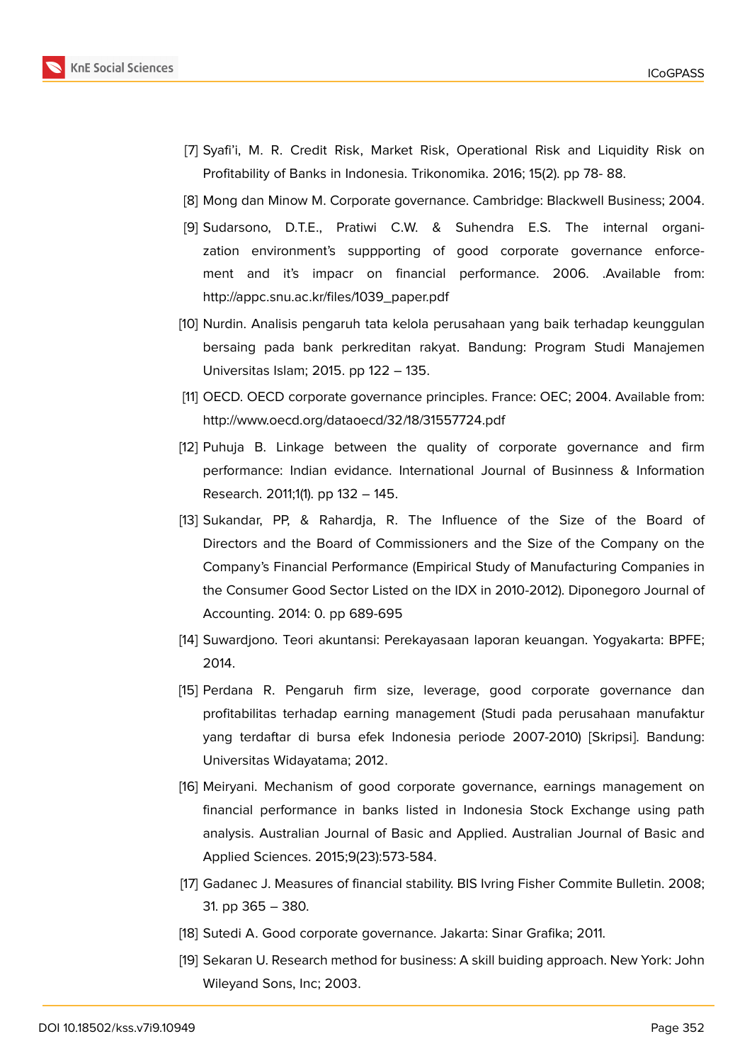

- <span id="page-15-0"></span>[7] Syafi'i, M. R. Credit Risk, Market Risk, Operational Risk and Liquidity Risk on Profitability of Banks in Indonesia. Trikonomika. 2016; 15(2). pp 78- 88.
- <span id="page-15-1"></span>[8] Mong dan Minow M. Corporate governance. Cambridge: Blackwell Business; 2004.
- [9] Sudarsono, D.T.E., Pratiwi C.W. & Suhendra E.S. The internal organization environment's suppporting of good corporate governance enforcement and it's impacr on financial performance. 2006. .Available from: http://appc.snu.ac.kr/files/1039\_paper.pdf
- [10] Nurdin. Analisis pengaruh tata kelola perusahaan yang baik terhadap keunggulan bersaing pada bank perkreditan rakyat. Bandung: Program Studi Manajemen Universitas Islam; 2015. pp 122 – 135.
- [11] OECD. OECD corporate governance principles. France: OEC; 2004. Available from: http://www.oecd.org/dataoecd/32/18/31557724.pdf
- <span id="page-15-2"></span>[12] Puhuja B. Linkage between the quality of corporate governance and firm performance: Indian evidance. International Journal of Businness & Information Research. 2011;1(1). pp 132 – 145.
- <span id="page-15-4"></span>[13] Sukandar, PP, & Rahardja, R. The Influence of the Size of the Board of Directors and the Board of Commissioners and the Size of the Company on the Company's Financial Performance (Empirical Study of Manufacturing Companies in the Consumer Good Sector Listed on the IDX in 2010-2012). Diponegoro Journal of Accounting. 2014: 0. pp 689-695
- <span id="page-15-3"></span>[14] Suwardjono. Teori akuntansi: Perekayasaan laporan keuangan. Yogyakarta: BPFE; 2014.
- <span id="page-15-5"></span>[15] Perdana R. Pengaruh firm size, leverage, good corporate governance dan profitabilitas terhadap earning management (Studi pada perusahaan manufaktur yang terdaftar di bursa efek Indonesia periode 2007-2010) [Skripsi]. Bandung: Universitas Widayatama; 2012.
- <span id="page-15-6"></span>[16] Meiryani. Mechanism of good corporate governance, earnings management on financial performance in banks listed in Indonesia Stock Exchange using path analysis. Australian Journal of Basic and Applied. Australian Journal of Basic and Applied Sciences. 2015;9(23):573-584.
- <span id="page-15-7"></span>[17] Gadanec J. Measures of financial stability. BIS Ivring Fisher Commite Bulletin. 2008; 31. pp 365 – 380.
- <span id="page-15-8"></span>[18] Sutedi A. Good corporate governance. Jakarta: Sinar Grafika; 2011.
- <span id="page-15-9"></span>[19] Sekaran U. Research method for business: A skill buiding approach. New York: John Wileyand Sons, Inc; 2003.